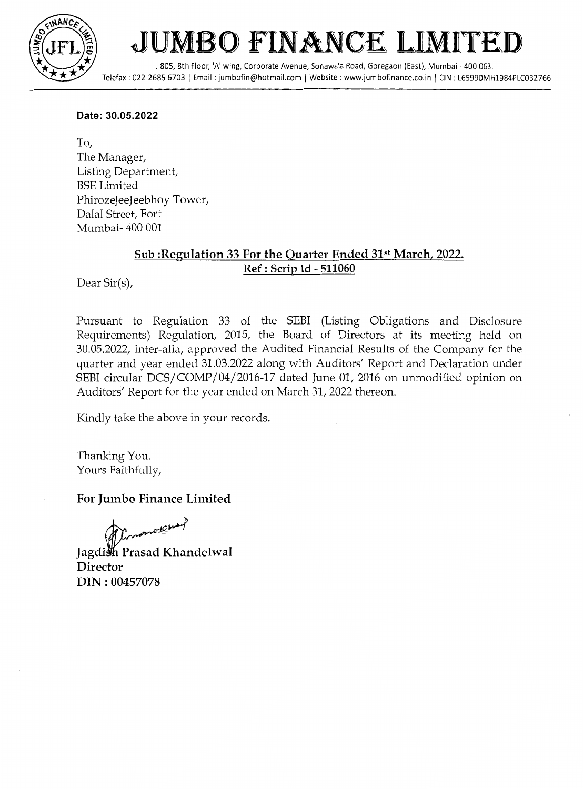

## **JUMBO FINANCE LIMITE**

. 805, 8th Floor, 'A' wing, Corporate Avenue, Sonawala Road, Goregaon (East), Mumbai - 400 063. Telefax: 022-2685 6703 I Email : jumbofin@hotmail.com I Website: www.jumbofinance.co.in I CIN : L65990MH1984PLC032766

### **Date: 30.05.2022**

To, The Manager, Listing Department, BSE Limited PhirozeJeeJeebhoy Tower, Dalal Street, Fort Mumbai-400 001

### **Sub :Regulation 33 For the Quarter Ended** 31st **March, 2022. Ref : Scrip Id - 511060**

Dear Sir(s),

Pursuant to Regulation 33 of the SEBI (Listing Obligations and Disclosure Requirements) Regulation, 2015, the Board of Directors at its meeting held on 30.05.2022, inter-alia, approved the Audited Financial Results of the Company for the quarter and year ended 31.03.2022 along with Auditors' Report and Declaration under SEBI circular DCS/COMP/04/2016-17 dated June 01, 2016 on unmodified opinion on Auditors' Report for the year ended on March 31, 2022 thereon.

Kindly take the above in your records.

Thanking You. Yours Faithfully,

**For Jumbo Finance Limited** 

Compressions)

Jagdish Prasad Khandelwal **Director DIN: 00457078**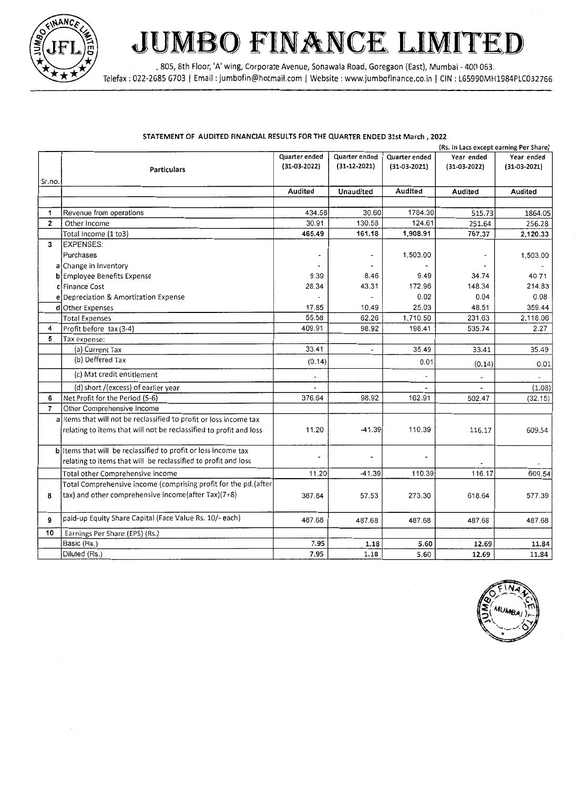

JUMBO FINANCE LIMITED . 805, 8th Floor, 'A' wing, Corporate Avenue, Sonawala Road, Goregaon (East), Mumbai - 400 053.

Telefax: 022-2685 5703 I Email : jumbofin@hotmail.com I Website : www.jumbofinance.co.in I CJN : L65990MH1984PLC032765

### STATEMENT OF AUDITED FINANCIAL RESULTS FOR THE QUARTER ENDED 31st March, 2022

|                | (Rs. In Lacs except earning Per Share)                             |                |                          |                |                |                |
|----------------|--------------------------------------------------------------------|----------------|--------------------------|----------------|----------------|----------------|
|                |                                                                    | Quarter ended  | Quarter ended            | Quarter ended  | Year ended     | Year ended     |
|                | <b>Particulars</b>                                                 | $(31-03-2022)$ | $(31-12-2021)$           | $(31-03-2021)$ | $(31-03-2022)$ | $(31-03-2021)$ |
| Sr.no.         |                                                                    |                |                          |                |                |                |
|                |                                                                    | Audited        | <b>Unaudited</b>         | Audited        | Audited        | Audited        |
|                |                                                                    |                |                          |                |                |                |
| 1              | Revenue from operations                                            | 434.58         | 30.60                    | 1784.30        | 515.73         | 1864.05        |
| $\mathbf{2}$   | Other Income                                                       | 30.91          | 130.58                   | 124.61         | 251.64         | 256.28         |
|                | Total Income (1 to3)                                               | 465.49         | 161.18                   | 1,908.91       | 767.37         | 2,120.33       |
| 3              | <b>EXPENSES:</b>                                                   |                |                          |                |                |                |
|                | Purchases                                                          |                | $\overline{\phantom{a}}$ | 1,503.00       |                | 1,503.00       |
|                | a Change in Inventory                                              |                |                          |                |                |                |
|                | b Employee Benefits Expense                                        | 9.39           | 8.46                     | 9.49           | 34.74          | 40.71          |
|                | clFinance Cost                                                     | 28.34          | 43.31                    | 172.96         | 148.34         | 214.83         |
|                | e Depreciation & Amortization Expense                              |                |                          | 0.02           | 0.04           | 0.08           |
|                | d Other Expenses                                                   | 17.85          | 10.49                    | 25.03          | 48.51          | 359.44         |
|                | <b>Total Expenses</b>                                              | 55.58          | 62.26                    | 1,710.50       | 231.63         | 2,118.06       |
| 4              | Profit before tax (3-4)                                            | 409.91         | 98.92                    | 198.41         | 535.74         | 2.27           |
| 5              | Tax expense:                                                       |                |                          |                |                |                |
|                | (a) Current Tax                                                    | 33.41          | $\overline{\phantom{a}}$ | 35.49          | 33.41          | 35.49          |
|                | (b) Deffered Tax                                                   | (0.14)         |                          | 0.01           | (0.14)         | 0.01           |
|                | (c) Mat credit entitlement                                         |                |                          |                |                |                |
|                | (d) short /(excess) of earlier year                                |                |                          |                |                | (1.08)         |
| 6              | Net Profit for the Period (5-6)                                    | 376.64         | 98.92                    | 162.91         | 502.47         | (32.15)        |
| $\overline{7}$ | Other Comprehensive Income                                         |                |                          |                |                |                |
|                | a items that will not be reclassified to profit or loss income tax |                |                          |                |                |                |
|                | relating to items that will not be reclassified to profit and loss | 11.20          | $-41.39$                 | 110.39         | 116.17         | 609.54         |
|                | b Items that will be reclassified to profit or loss income tax     |                |                          |                |                |                |
|                | relating to items that will be reclassified to profit and loss     |                |                          |                |                |                |
|                | Total other Comprehensive income                                   | 11.20          | $-41.39$                 | 110.39         | 116.17         | 609.54         |
|                | Total Comprehensive income (comprising profit for the pd. (after   |                |                          |                |                |                |
| 8              | tax) and other comprehensive income(after $Tax$ )(7+8)             | 387.84         | 57.53                    | 273.30         | 618.64         | 577.39         |
|                |                                                                    |                |                          |                |                |                |
| 9              | paid-up Equity Share Capital (Face Value Rs. 10/- each)            | 487.68         | 487.68                   | 487.68         | 487.68         | 487.68         |
| 10             | Earnings Per Share (EPS) (Rs.)                                     |                |                          |                |                |                |
|                | Basic (Rs.)                                                        | 7.95           | 1.18                     | 5.60           | 12.69          | 11.84          |
|                | Diluted (Rs.)                                                      | 7.95           | 1.18                     | 5.60           | 12.69          | 11.84          |

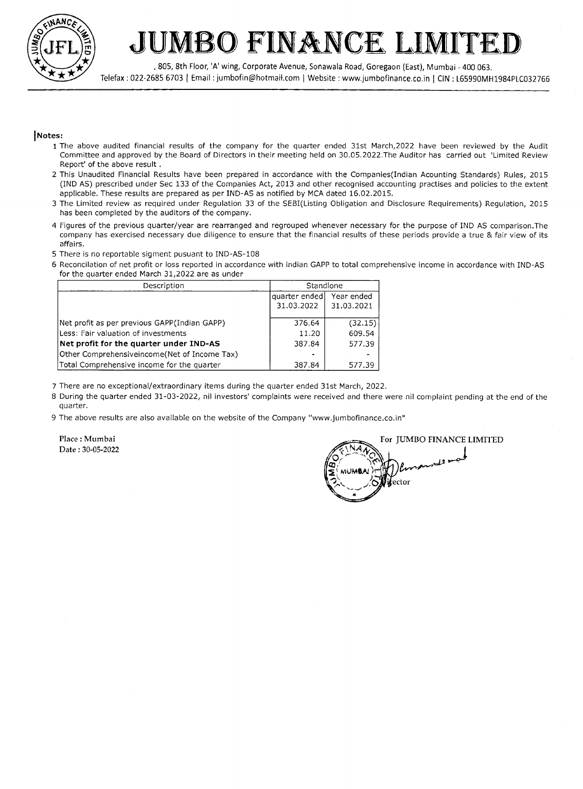

### **JUMBO FINANCE LIMI**

. 805, 8th Floor, 'A' wing, Corporate Avenue, Sonawala Road, Goregaon (East), Mumbai - 400 063. Telefax: 022-2685 6703 I Email: jumbofin@hotmail.com I Website: www.jumbofinance.co.in I CIN: L65990MH1984PLC032766

### **I Notes:**

- 1 The above audited financial results of the company for the quarter ended 31st March,2022 have been reviewed by the Audit Committee and approved by the Board of Directors in their meeting held on 30.05.2022.The Auditor has carried out 'Limited Review Report' of the above result .
- 2 This Unaudited Financial Results have been prepared in accordance with the Companies(Indian Acounting Standards) Rules, 2015 (IND AS) prescribed under Sec 133 of the Companies Act, 2013 and other recognised accounting practises and policies to the extent applicable. These results are prepared as per IND-AS as notified by MCA dated 16.02.2015.
- 3 The Limited review as required under Regulation 33 of the SEBI(Listing Obligation and Disclosure Requirements) Regulation, 2015 has been completed by the auditors of the company.
- 4 Figures of the previous quarter/year are rearranged and regrouped whenever necessary for the purpose of IND AS comparison.The company has exercised necessary due diligence to ensure that the financial results of these periods provide a true & fair view of its affairs.
- 5 There is no reportable sigment pusuant to IND-AS-108
- 6 Reconcilation of net profit or loss reported in accordance with indian GAPP to total comprehensive income in accordance with IND-AS for the quarter ended March 31,2022 are as under

| Description                                   |               | Standlone  |  |
|-----------------------------------------------|---------------|------------|--|
|                                               | quarter ended | Year ended |  |
|                                               | 31.03.2022    | 31.03.2021 |  |
| Net profit as per previous GAPP(Indian GAPP)  | 376.64        | (32.15)    |  |
| lLess: Fair valuation of investments          | 11.20         | 609.54     |  |
| Net profit for the quarter under IND-AS       | 387.84        | 577.39     |  |
| Other Comprehensiveincome (Net of Income Tax) |               |            |  |
| Total Comprehensive income for the quarter    | 38784         | 577.39     |  |

7 There are no exceptional/extraordinary items during the quarter ended 31st March, 2022.

- 8 During the quarter ended 31-03-2022, nil investors' complaints were received and there were nil complaint pending at the end of the quarter.
- 9 The above results are also available on the website of the Company "www.jumbofinance.co.in"

Place : Mumbai Date : 30-05-2022

For JUMBO FINANCE LIMITED  $\ell$  and  $\ell$ ector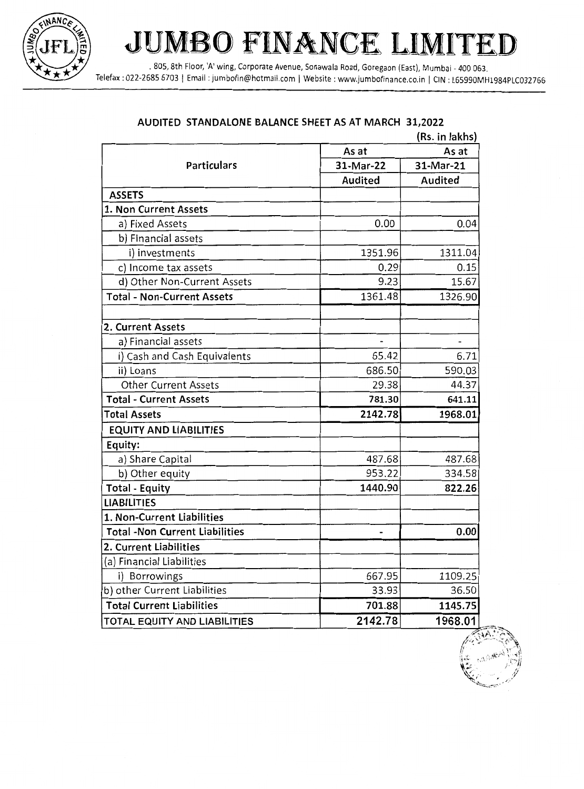

# $JUMBO\ FINANCE\ LIMITED$ . 805, 8th Floor, 'A' wing, Corporate Avenue, Sonawala Road, Goregaon (East), Mumbai - 400 063.

Telefax : 022-2685 6703 | Email : jumbofin@hotmail.com | Website : www.jumbofinance.co.in | CIN : L65990MH1984PLC032766

### AUDITED STANDALONE BALANCE SHEET AS AT MARCH 31,2022

|                                        |                | (Rs. in lakhs) |  |  |
|----------------------------------------|----------------|----------------|--|--|
|                                        | As at          | As at          |  |  |
| <b>Particulars</b>                     | 31-Mar-22      | 31-Mar-21      |  |  |
|                                        | Audited        | Audited        |  |  |
| <b>ASSETS</b>                          |                |                |  |  |
| 1. Non Current Assets                  |                |                |  |  |
| a) Fixed Assets                        | 0.00           | 0.04           |  |  |
| b) Financial assets                    |                |                |  |  |
| i) investments                         | 1351.96        | 1311.04        |  |  |
| c) Income tax assets                   | 0.29           | 0.15           |  |  |
| d) Other Non-Current Assets            | 9.23           | 15.67          |  |  |
| <b>Total - Non-Current Assets</b>      | 1361.48        | 1326.90        |  |  |
| 2. Current Assets                      |                |                |  |  |
| a) Financial assets                    |                |                |  |  |
| i) Cash and Cash Equivalents           | 65.42          | 6.71           |  |  |
| ii) Loans                              | 686.50         | 590.03         |  |  |
| <b>Other Current Assets</b>            | 29.38          | 44.37          |  |  |
| <b>Total - Current Assets</b>          | 781.30         | 641.11         |  |  |
| <b>Total Assets</b>                    | 2142.78        | 1968.01        |  |  |
| <b>EQUITY AND LIABILITIES</b>          |                |                |  |  |
| Equity:                                |                |                |  |  |
| a) Share Capital                       | 487.68         | 487.68         |  |  |
| b) Other equity                        | 953.22         | 334.58         |  |  |
| <b>Total - Equity</b>                  | 1440.90        | 822.26         |  |  |
| <b>LIABILITIES</b>                     |                |                |  |  |
| 1. Non-Current Liabilities             |                |                |  |  |
| <b>Total - Non Current Liabilities</b> | $\blacksquare$ | 0.00           |  |  |
| 2. Current Liabilities                 |                |                |  |  |
| (a) Financial Liabilities              |                |                |  |  |
| Borrowings                             | 667.95         | 1109.25        |  |  |
| b) other Current Liabilities           | 33.93          | 36.50          |  |  |
| <b>Total Current Liabilities</b>       | 701.88         | 1145.75        |  |  |
| TOTAL EQUITY AND LIABILITIES           | 2142.78        | 1968.01        |  |  |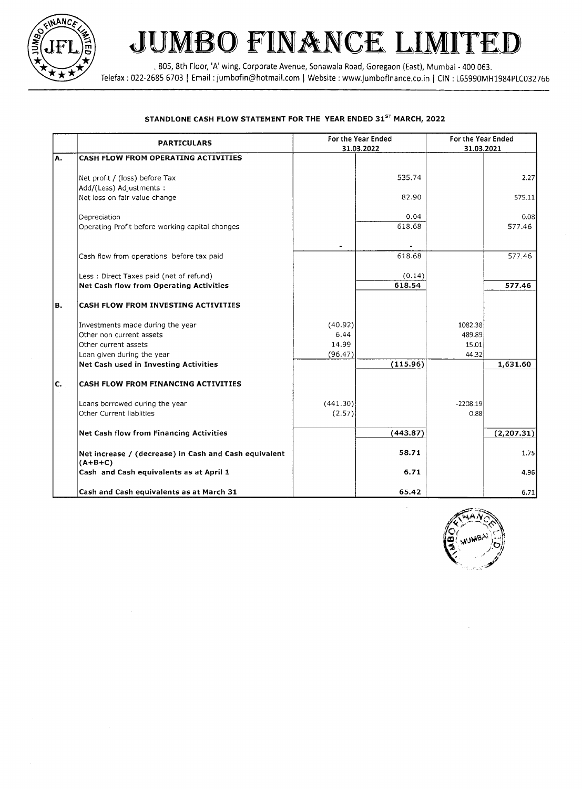

### **JUMBO FINANCE LIMITED**

. 805, 8th Floor, 'A' wing, Corporate Avenue, Sonawala Road, Goregaon (East}, Mumbai - 400 063. Telefax: 022-2685 6703 | Email: jumbofin@hotmail.com | Website : www.jumbofinance.co.in | CIN : L65990MH1984PLC032766

#### **STANDLONE CASH FLOW STATEMENT FOR THE YEAR ENDED 31<sup>5</sup> T MARCH, 2022**

|    | <b>PARTICULARS</b>                                                 | For the Year Ended<br>31.03.2022 |          | For the Year Ended<br>31.03.2021 |            |
|----|--------------------------------------------------------------------|----------------------------------|----------|----------------------------------|------------|
|    |                                                                    |                                  |          |                                  |            |
| Α. | CASH FLOW FROM OPERATING ACTIVITIES                                |                                  |          |                                  |            |
|    | Net profit / (loss) before Tax                                     |                                  | 535.74   |                                  | 2.27       |
|    | Add/(Less) Adjustments:                                            |                                  |          |                                  |            |
|    | Net loss on fair value change                                      |                                  | 82.90    |                                  | 575.11     |
|    | Depreciation                                                       |                                  | 0.04     |                                  | 0.08       |
|    | Operating Profit before working capital changes                    |                                  | 618.68   |                                  | 577.46     |
|    |                                                                    |                                  |          |                                  |            |
|    | Cash flow from operations before tax paid                          |                                  | 618.68   |                                  | 577.46     |
|    | Less: Direct Taxes paid (net of refund)                            |                                  | (0.14)   |                                  |            |
|    | Net Cash flow from Operating Activities                            |                                  | 618.54   |                                  | 577.46     |
| В. | CASH FLOW FROM INVESTING ACTIVITIES                                |                                  |          |                                  |            |
|    | Investments made during the year                                   | (40.92)                          |          | 1082.38                          |            |
|    | Other non current assets                                           | 6.44                             |          | 489.89                           |            |
|    | Other current assets                                               | 14.99                            |          | 15.01                            |            |
|    | Loan given during the year                                         | (96.47)                          |          | 44.32                            |            |
|    | Net Cash used in Investing Activities                              |                                  | (115.96) |                                  | 1,631.60   |
| c. | <b>CASH FLOW FROM FINANCING ACTIVITIES</b>                         |                                  |          |                                  |            |
|    | Loans borrowed during the year                                     | (441.30)                         |          | $-2208.19$                       |            |
|    | Other Current liablities                                           | (2.57)                           |          | 0.88                             |            |
|    | Net Cash flow from Financing Activities                            |                                  | (443.87) |                                  | (2,207.31) |
|    | Net increase / (decrease) in Cash and Cash equivalent<br>$(A+B+C)$ |                                  | 58.71    |                                  | 1.75       |
|    | Cash and Cash equivalents as at April 1                            |                                  | 6.71     |                                  | 4.96       |
|    | Cash and Cash equivalents as at March 31                           |                                  | 65.42    |                                  | 6.71       |



 $\bar{z}$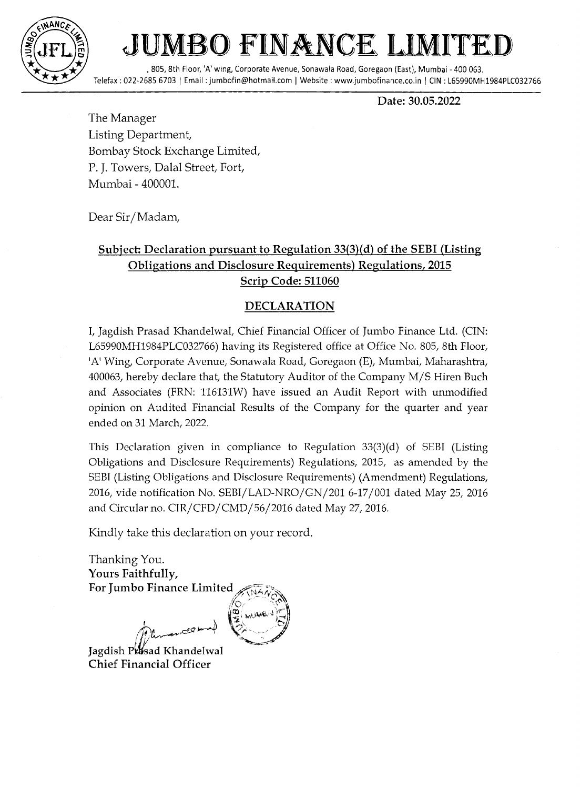

### **JBO FINANCE LIMIT**

. 805, 8th Floor, 'A' wing, Corporate Avenue, Sonawala Road, Goregaon (East), Mumbai - 400 063. Telefax : 022-2685 6703 | Email : jumbofin@hotmail.com | Website : www.jumbofinance.co.in | CIN : L65990MH1984PLC032766

**Date: 30.05.2022** 

The Manager Listing Department, Bombay Stock Exchange Limited, P. J. Towers, Dalal Street, Fort, Mumbai -400001.

Dear Sir/ Madam,

### **Subject: Declaration pursuant to Regulation 33(3)(d) of the SEBI (Listing Obligations and Disclosure Requirements) Regulations, 2015 Scrip Code: 511060**

### **DECLARATION**

I, Jagdish Prasad Khandelwal, Chief Financial Officer of Jumbo Finance Ltd. (CIN: L65990MH1984PLC032766) having its Registered office at Office No. 805, 8th Floor, 1 A1 Wing, Corporate Avenue, Sonawala Road, Goregaon (E), Mumbai, Maharashtra, 400063, hereby declare that, the Statutory Auditor of the Company M/S Hiren Buch and Associates (FRN: 116131W) have issued an Audit Report with unmodified opinion on Audited Financial Results of the Company for the quarter and year ended on 31 March, 2022.

This Declaration given in compliance to Regulation  $33(3)(d)$  of SEBI (Listing Obligations and Disclosure Requirements) Regulations, 2015, as amended by the SEBI (Listing Obligations and Disclosure Requirements) (Amendment) Regulations, 2016, vide notification No. SEBI/LAD-NRO/GN/201 6-17 /001 dated May 25, 2016 and Circular no. CIR/CFD/CMD/56/2016 dated May 27, 2016.

Kindly take this declaration on your record.

Thanking You. Yours Faithfully, For Jumbo Finance Limited

Jagdish Prasad Khandelwal **Chief Financial Officer**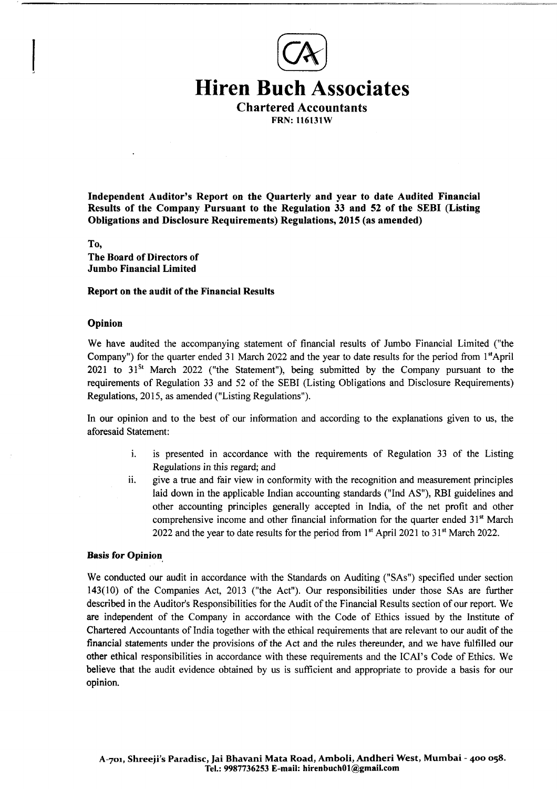

### **Hiren Buch Associates**

**Chartered Accountants FRN: 116131W** 

Independent Auditor's Report on the Quarterly and year to date Audited Financial Results of the Company Pursuant to the Regulation 33 and 52 of the SEBI (Listing **Obligations and Disclosure Requirements) Regulations, 2015 (as amended)** 

To. The Board of Directors of **Jumbo Financial Limited** 

### **Report on the audit of the Financial Results**

### Opinion

We have audited the accompanying statement of financial results of Jumbo Financial Limited ("the Company") for the quarter ended 31 March 2022 and the year to date results for the period from 1<sup>st</sup>April 2021 to 31<sup>St</sup> March 2022 ("the Statement"), being submitted by the Company pursuant to the requirements of Regulation 33 and 52 of the SEBI (Listing Obligations and Disclosure Requirements) Regulations, 2015, as amended ("Listing Regulations").

In our opinion and to the best of our information and according to the explanations given to us, the aforesaid Statement:

- $\mathbf{i}$ . is presented in accordance with the requirements of Regulation 33 of the Listing Regulations in this regard; and
- give a true and fair view in conformity with the recognition and measurement principles ii. laid down in the applicable Indian accounting standards ("Ind AS"), RBI guidelines and other accounting principles generally accepted in India, of the net profit and other comprehensive income and other financial information for the quarter ended 31<sup>st</sup> March 2022 and the year to date results for the period from 1<sup>st</sup> April 2021 to 31<sup>st</sup> March 2022.

#### **Basis for Opinion**

We conducted our audit in accordance with the Standards on Auditing ("SAs") specified under section 143(10) of the Companies Act, 2013 ("the Act"). Our responsibilities under those SAs are further described in the Auditor's Responsibilities for the Audit of the Financial Results section of our report. We are independent of the Company in accordance with the Code of Ethics issued by the Institute of Chartered Accountants of India together with the ethical requirements that are relevant to our audit of the financial statements under the provisions of the Act and the rules thereunder, and we have fulfilled our other ethical responsibilities in accordance with these requirements and the ICAI's Code of Ethics. We believe that the audit evidence obtained by us is sufficient and appropriate to provide a basis for our opinion.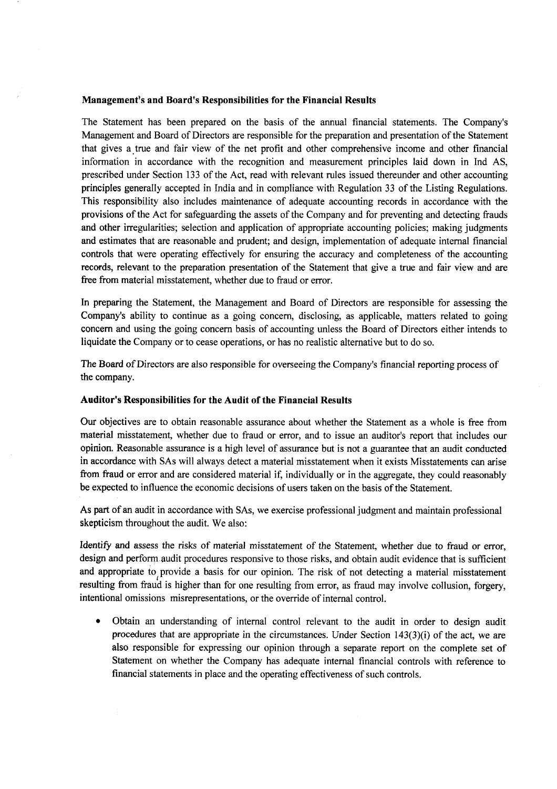#### Management's and Board's Responsibilities for the Financial Results

The Statement has been prepared on the basis of the annual financial statements. The Company's Management and Board of Directors are responsible for the preparation and presentation of the Statement that gives a true and fair view of the net profit and other comprehensive income and other financial information in accordance with the recognition and measurement principles laid down in Ind AS, prescribed under Section 133 of the Act, read with relevant rules issued thereunder and other accounting principles generally accepted in India and in compliance with Regulation 33 of the Listing Regulations. This responsibility also includes maintenance of adequate accounting records in accordance with the provisions of the Act for safeguarding the assets of the Company and for preventing and detecting frauds and other irregularities; selection and application of appropriate accounting policies; making judgments and estimates that are reasonable and prudent; and design, implementation of adequate internal financial controls that were operating effectively for ensuring the accuracy and completeness of the accounting records, relevant to the preparation presentation of the Statement that give a true and fair view and are free from material misstatement, whether due to fraud or error.

In preparing the Statement, the Management and Board of Directors are responsible for assessing the Company's ability to continue as a going concern, disclosing, as applicable, matters related to going concern and using the going concern basis of accounting unless the Board of Directors either intends to liquidate the Company or to cease operations, or has no realistic alternative but to do so.

The Board of Directors are also responsible for overseeing the Company's financial reporting process of the company.

### **Auditor's Responsibilities for the Audit of the Financial Results**

Our objectives are to obtain reasonable assurance about whether the Statement as a whole is free from material misstatement, whether due to fraud or error, and to issue an auditor's report that includes our opinion. Reasonable assurance is a high level of assurance but is not a guarantee that an audit conducted in accordance with SAs will always detect a material misstatement when it exists Misstatements can arise from fraud or error and are considered material if, individually or in the aggregate, they could reasonably be expected to influence the economic decisions of users taken on the basis of the Statement.

As part of an audit in accordance with SAs, we exercise professional judgment and maintain professional skepticism throughout the audit. We also:

Identify and assess the risks of material misstatement of the Statement, whether due to fraud or error, design and perform audit procedures responsive to those risks, and obtain audit evidence that is sufficient and appropriate to provide a basis for our opinion. The risk of not detecting a material misstatement resulting from fraud is higher than for one resulting from error, as fraud may involve collusion, forgery, intentional omissions misrepresentations, or the override of internal control.

Obtain an understanding of internal control relevant to the audit in order to design audit procedures that are appropriate in the circumstances. Under Section  $143(3)(i)$  of the act, we are also responsible for expressing our opinion through a separate report on the complete set of Statement on whether the Company has adequate internal financial controls with reference to financial statements in place and the operating effectiveness of such controls.